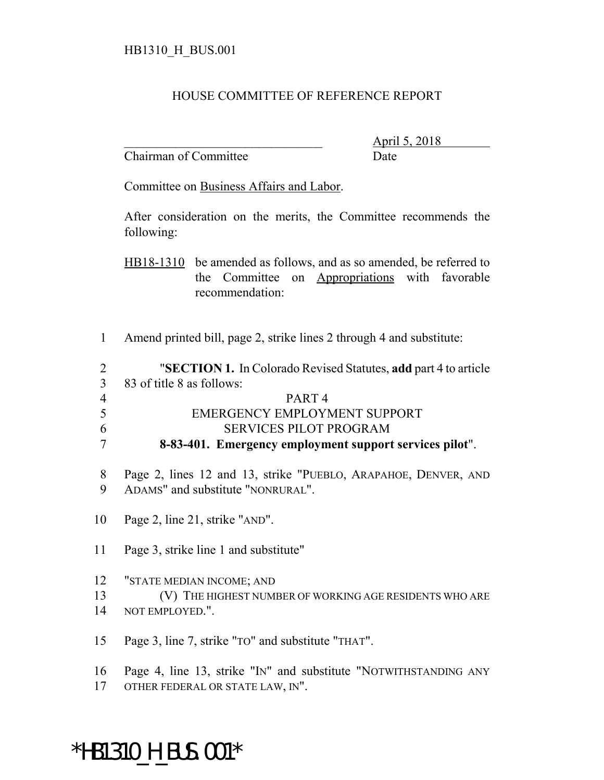## HOUSE COMMITTEE OF REFERENCE REPORT

Chairman of Committee Date

\_\_\_\_\_\_\_\_\_\_\_\_\_\_\_\_\_\_\_\_\_\_\_\_\_\_\_\_\_\_\_ April 5, 2018

Committee on Business Affairs and Labor.

After consideration on the merits, the Committee recommends the following:

HB18-1310 be amended as follows, and as so amended, be referred to the Committee on Appropriations with favorable recommendation:

Amend printed bill, page 2, strike lines 2 through 4 and substitute:

| 2              | "SECTION 1. In Colorado Revised Statutes, add part 4 to article |
|----------------|-----------------------------------------------------------------|
| 3              | 83 of title 8 as follows:                                       |
| $\overline{4}$ | PART <sub>4</sub>                                               |
| 5              | EMERGENCY EMPLOYMENT SUPPORT                                    |
| 6              | <b>SERVICES PILOT PROGRAM</b>                                   |
| 7              | 8-83-401. Emergency employment support services pilot".         |
|                |                                                                 |
| 8              | Page 2, lines 12 and 13, strike "PUEBLO, ARAPAHOE, DENVER, AND  |

- Page 2, line 21, strike "AND".
- Page 3, strike line 1 and substitute"

ADAMS" and substitute "NONRURAL".

- "STATE MEDIAN INCOME; AND
- (V) THE HIGHEST NUMBER OF WORKING AGE RESIDENTS WHO ARE
- NOT EMPLOYED.".
- Page 3, line 7, strike "TO" and substitute "THAT".
- Page 4, line 13, strike "IN" and substitute "NOTWITHSTANDING ANY
- OTHER FEDERAL OR STATE LAW, IN".

## \*HB1310\_H\_BUS.001\*